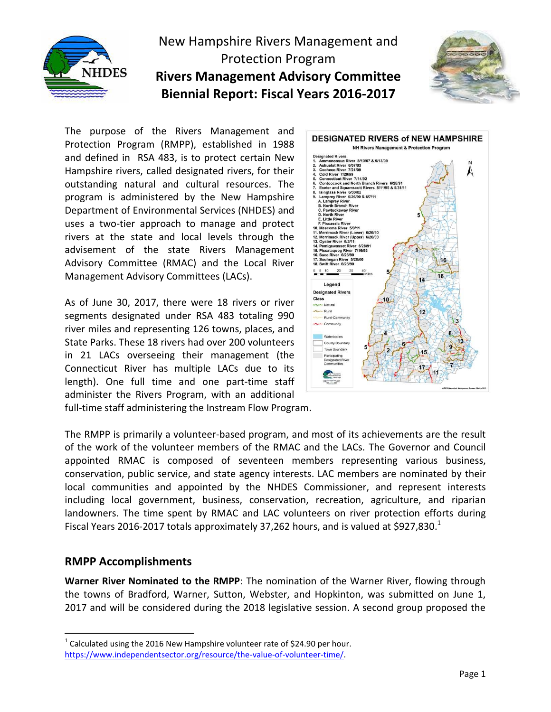

# New Hampshire Rivers Management and Protection Program **Rivers Management Advisory Committee Biennial Report: Fiscal Years 2016-2017**



The purpose of the Rivers Management and Protection Program (RMPP), established in 1988 and defined in RSA 483, is to protect certain New Hampshire rivers, called designated rivers, for their outstanding natural and cultural resources. The program is administered by the New Hampshire Department of Environmental Services (NHDES) and uses a two-tier approach to manage and protect rivers at the state and local levels through the advisement of the state Rivers Management Advisory Committee (RMAC) and the Local River Management Advisory Committees (LACs).

As of June 30, 2017, there were 18 rivers or river segments designated under RSA 483 totaling 990 river miles and representing 126 towns, places, and State Parks. These 18 rivers had over 200 volunteers in 21 LACs overseeing their management (the Connecticut River has multiple LACs due to its length). One full time and one part-time staff administer the Rivers Program, with an additional



full-time staff administering the Instream Flow Program.

The RMPP is primarily a volunteer-based program, and most of its achievements are the result of the work of the volunteer members of the RMAC and the LACs. The Governor and Council appointed RMAC is composed of seventeen members representing various business, conservation, public service, and state agency interests. LAC members are nominated by their local communities and appointed by the NHDES Commissioner, and represent interests including local government, business, conservation, recreation, agriculture, and riparian landowners. The time spent by RMAC and LAC volunteers on river protection efforts during Fiscal Years 2016-2017 totals approximately 37,262 hours, and is valued at \$927,830. $^{1}$ 

#### **RMPP Accomplishments**

 $\overline{a}$ 

**Warner River Nominated to the RMPP**: The nomination of the Warner River, flowing through the towns of Bradford, Warner, Sutton, Webster, and Hopkinton, was submitted on June 1, 2017 and will be considered during the 2018 legislative session. A second group proposed the

<sup>&</sup>lt;sup>1</sup> Calculated using the 2016 New Hampshire volunteer rate of \$24.90 per hour. [https://www.independentsector.org/resource/the-value-of-volunteer-time/.](https://www.independentsector.org/resource/the-value-of-volunteer-time/)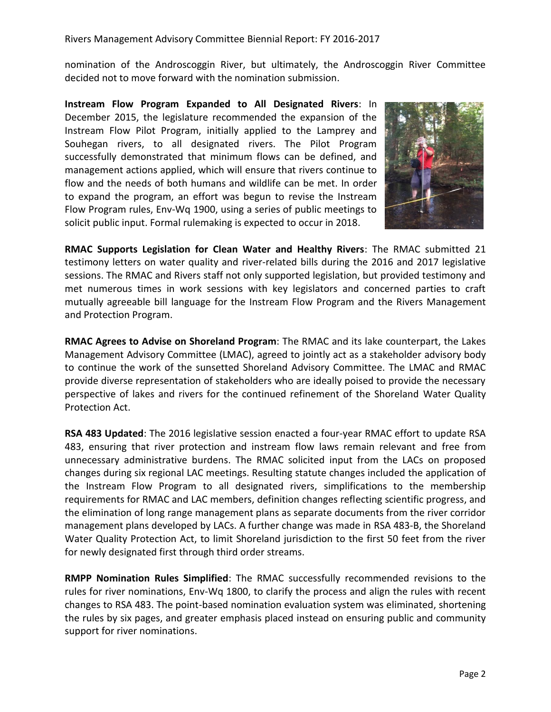Rivers Management Advisory Committee Biennial Report: FY 2016-2017

nomination of the Androscoggin River, but ultimately, the Androscoggin River Committee decided not to move forward with the nomination submission.

**Instream Flow Program Expanded to All Designated Rivers**: In December 2015, the legislature recommended the expansion of the Instream Flow Pilot Program, initially applied to the Lamprey and Souhegan rivers, to all designated rivers. The Pilot Program successfully demonstrated that minimum flows can be defined, and management actions applied, which will ensure that rivers continue to flow and the needs of both humans and wildlife can be met. In order to expand the program, an effort was begun to revise the Instream Flow Program rules, Env-Wq 1900, using a series of public meetings to solicit public input. Formal rulemaking is expected to occur in 2018.



**RMAC Supports Legislation for Clean Water and Healthy Rivers**: The RMAC submitted 21 testimony letters on water quality and river-related bills during the 2016 and 2017 legislative sessions. The RMAC and Rivers staff not only supported legislation, but provided testimony and met numerous times in work sessions with key legislators and concerned parties to craft mutually agreeable bill language for the Instream Flow Program and the Rivers Management and Protection Program.

**RMAC Agrees to Advise on Shoreland Program**: The RMAC and its lake counterpart, the Lakes Management Advisory Committee (LMAC), agreed to jointly act as a stakeholder advisory body to continue the work of the sunsetted Shoreland Advisory Committee. The LMAC and RMAC provide diverse representation of stakeholders who are ideally poised to provide the necessary perspective of lakes and rivers for the continued refinement of the Shoreland Water Quality Protection Act.

**RSA 483 Updated**: The 2016 legislative session enacted a four-year RMAC effort to update RSA 483, ensuring that river protection and instream flow laws remain relevant and free from unnecessary administrative burdens. The RMAC solicited input from the LACs on proposed changes during six regional LAC meetings. Resulting statute changes included the application of the Instream Flow Program to all designated rivers, simplifications to the membership requirements for RMAC and LAC members, definition changes reflecting scientific progress, and the elimination of long range management plans as separate documents from the river corridor management plans developed by LACs. A further change was made in RSA 483-B, the Shoreland Water Quality Protection Act, to limit Shoreland jurisdiction to the first 50 feet from the river for newly designated first through third order streams.

**RMPP Nomination Rules Simplified**: The RMAC successfully recommended revisions to the rules for river nominations, Env-Wq 1800, to clarify the process and align the rules with recent changes to RSA 483. The point-based nomination evaluation system was eliminated, shortening the rules by six pages, and greater emphasis placed instead on ensuring public and community support for river nominations.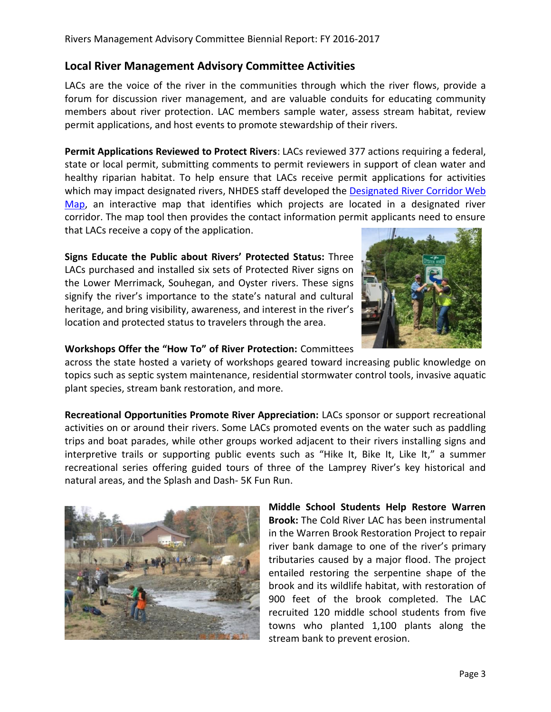### **Local River Management Advisory Committee Activities**

LACs are the voice of the river in the communities through which the river flows, provide a forum for discussion river management, and are valuable conduits for educating community members about river protection. LAC members sample water, assess stream habitat, review permit applications, and host events to promote stewardship of their rivers.

**Permit Applications Reviewed to Protect Rivers**: LACs reviewed 377 actions requiring a federal, state or local permit, submitting comments to permit reviewers in support of clean water and healthy riparian habitat. To help ensure that LACs receive permit applications for activities which may impact designated rivers, NHDES staff developed the Designated River Corridor Web [Map,](http://nhdes.maps.arcgis.com/apps/webappviewer/index.html?id=d3869f998e614d81925481ac71c3903e) an interactive map that identifies which projects are located in a designated river corridor. The map tool then provides the contact information permit applicants need to ensure that LACs receive a copy of the application.

**Signs Educate the Public about Rivers' Protected Status:** Three LACs purchased and installed six sets of Protected River signs on the Lower Merrimack, Souhegan, and Oyster rivers. These signs signify the river's importance to the state's natural and cultural heritage, and bring visibility, awareness, and interest in the river's location and protected status to travelers through the area.



#### **Workshops Offer the "How To" of River Protection:** Committees

across the state hosted a variety of workshops geared toward increasing public knowledge on topics such as septic system maintenance, residential stormwater control tools, invasive aquatic plant species, stream bank restoration, and more.

**Recreational Opportunities Promote River Appreciation:** LACs sponsor or support recreational activities on or around their rivers. Some LACs promoted events on the water such as paddling trips and boat parades, while other groups worked adjacent to their rivers installing signs and interpretive trails or supporting public events such as "Hike It, Bike It, Like It," a summer recreational series offering guided tours of three of the Lamprey River's key historical and natural areas, and the Splash and Dash- 5K Fun Run.



**Middle School Students Help Restore Warren Brook:** The Cold River LAC has been instrumental in the Warren Brook Restoration Project to repair river bank damage to one of the river's primary tributaries caused by a major flood. The project entailed restoring the serpentine shape of the brook and its wildlife habitat, with restoration of 900 feet of the brook completed. The LAC recruited 120 middle school students from five towns who planted 1,100 plants along the stream bank to prevent erosion.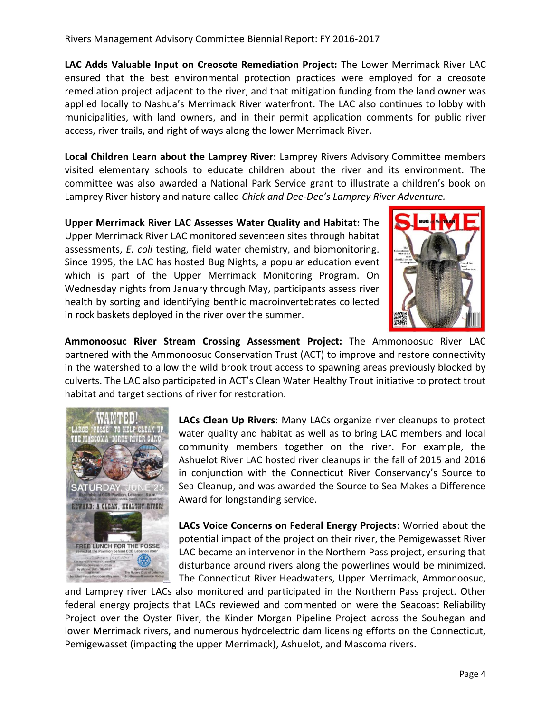**LAC Adds Valuable Input on Creosote Remediation Project:** The Lower Merrimack River LAC ensured that the best environmental protection practices were employed for a creosote remediation project adjacent to the river, and that mitigation funding from the land owner was applied locally to Nashua's Merrimack River waterfront. The LAC also continues to lobby with municipalities, with land owners, and in their permit application comments for public river access, river trails, and right of ways along the lower Merrimack River.

**Local Children Learn about the Lamprey River:** Lamprey Rivers Advisory Committee members visited elementary schools to educate children about the river and its environment. The committee was also awarded a National Park Service grant to illustrate a children's book on Lamprey River history and nature called *Chick and Dee-Dee's Lamprey River Adventure.* 

**Upper Merrimack River LAC Assesses Water Quality and Habitat:** The Upper Merrimack River LAC monitored seventeen sites through habitat assessments, *E. coli* testing, field water chemistry, and biomonitoring. Since 1995, the LAC has hosted Bug Nights, a popular education event which is part of the Upper Merrimack Monitoring Program. On Wednesday nights from January through May, participants assess river health by sorting and identifying benthic macroinvertebrates collected in rock baskets deployed in the river over the summer.



**Ammonoosuc River Stream Crossing Assessment Project:** The Ammonoosuc River LAC partnered with the Ammonoosuc Conservation Trust (ACT) to improve and restore connectivity in the watershed to allow the wild brook trout access to spawning areas previously blocked by culverts. The LAC also participated in ACT's Clean Water Healthy Trout initiative to protect trout habitat and target sections of river for restoration.



**LACs Clean Up Rivers**: Many LACs organize river cleanups to protect water quality and habitat as well as to bring LAC members and local community members together on the river. For example, the Ashuelot River LAC hosted river cleanups in the fall of 2015 and 2016 in conjunction with the Connecticut River Conservancy's Source to Sea Cleanup, and was awarded the Source to Sea Makes a Difference Award for longstanding service.

**LACs Voice Concerns on Federal Energy Projects**: Worried about the potential impact of the project on their river, the Pemigewasset River LAC became an intervenor in the Northern Pass project, ensuring that disturbance around rivers along the powerlines would be minimized. The Connecticut River Headwaters, Upper Merrimack, Ammonoosuc,

and Lamprey river LACs also monitored and participated in the Northern Pass project. Other federal energy projects that LACs reviewed and commented on were the Seacoast Reliability Project over the Oyster River, the Kinder Morgan Pipeline Project across the Souhegan and lower Merrimack rivers, and numerous hydroelectric dam licensing efforts on the Connecticut, Pemigewasset (impacting the upper Merrimack), Ashuelot, and Mascoma rivers.